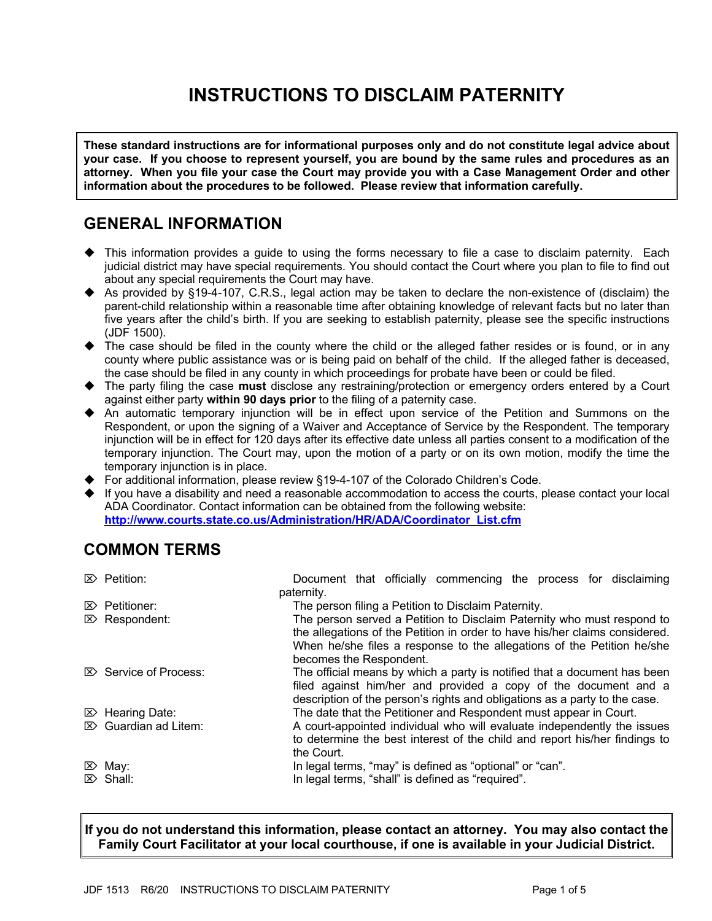# **INSTRUCTIONS TO DISCLAIM PATERNITY**

**These standard instructions are for informational purposes only and do not constitute legal advice about your case. If you choose to represent yourself, you are bound by the same rules and procedures as an attorney. When you file your case the Court may provide you with a Case Management Order and other information about the procedures to be followed. Please review that information carefully.**

## **GENERAL INFORMATION**

- $\blacklozenge$  This information provides a guide to using the forms necessary to file a case to disclaim paternity. Each judicial district may have special requirements. You should contact the Court where you plan to file to find out about any special requirements the Court may have.
- ◆ As provided by §19-4-107, C.R.S., legal action may be taken to declare the non-existence of (disclaim) the parent-child relationship within a reasonable time after obtaining knowledge of relevant facts but no later than five years after the child's birth. If you are seeking to establish paternity, please see the specific instructions (JDF 1500).
- $\blacktriangleright$  The case should be filed in the county where the child or the alleged father resides or is found, or in any county where public assistance was or is being paid on behalf of the child. If the alleged father is deceased, the case should be filed in any county in which proceedings for probate have been or could be filed.
- u The party filing the case **must** disclose any restraining/protection or emergency orders entered by a Court against either party **within 90 days prior** to the filing of a paternity case.
- $\blacklozenge$  An automatic temporary injunction will be in effect upon service of the Petition and Summons on the Respondent, or upon the signing of a Waiver and Acceptance of Service by the Respondent. The temporary injunction will be in effect for 120 days after its effective date unless all parties consent to a modification of the temporary injunction. The Court may, upon the motion of a party or on its own motion, modify the time the temporary injunction is in place.
- ◆ For additional information, please review §19-4-107 of the Colorado Children's Code.
- $\blacklozenge$  If you have a disability and need a reasonable accommodation to access the courts, please contact your local ADA Coordinator. Contact information can be obtained from the following website: **http://www.courts.state.co.us/Administration/HR/ADA/Coordinator\_List.cfm**

## **COMMON TERMS**

|  | The person served a Petition to Disclaim Paternity who must respond to<br>the allegations of the Petition in order to have his/her claims considered.                                                                          |                          |                         |  |                                                   |                                                                                                                 |                                                                                                                                                                                                                                                                                              |
|--|--------------------------------------------------------------------------------------------------------------------------------------------------------------------------------------------------------------------------------|--------------------------|-------------------------|--|---------------------------------------------------|-----------------------------------------------------------------------------------------------------------------|----------------------------------------------------------------------------------------------------------------------------------------------------------------------------------------------------------------------------------------------------------------------------------------------|
|  |                                                                                                                                                                                                                                |                          |                         |  |                                                   |                                                                                                                 |                                                                                                                                                                                                                                                                                              |
|  |                                                                                                                                                                                                                                |                          |                         |  |                                                   |                                                                                                                 |                                                                                                                                                                                                                                                                                              |
|  |                                                                                                                                                                                                                                |                          |                         |  |                                                   |                                                                                                                 |                                                                                                                                                                                                                                                                                              |
|  | The official means by which a party is notified that a document has been<br>filed against him/her and provided a copy of the document and a<br>description of the person's rights and obligations as a party to the case.      |                          |                         |  |                                                   |                                                                                                                 |                                                                                                                                                                                                                                                                                              |
|  |                                                                                                                                                                                                                                |                          |                         |  |                                                   |                                                                                                                 |                                                                                                                                                                                                                                                                                              |
|  |                                                                                                                                                                                                                                |                          |                         |  |                                                   |                                                                                                                 |                                                                                                                                                                                                                                                                                              |
|  |                                                                                                                                                                                                                                |                          |                         |  |                                                   |                                                                                                                 |                                                                                                                                                                                                                                                                                              |
|  |                                                                                                                                                                                                                                |                          |                         |  |                                                   |                                                                                                                 |                                                                                                                                                                                                                                                                                              |
|  | A court-appointed individual who will evaluate independently the issues                                                                                                                                                        |                          |                         |  |                                                   |                                                                                                                 |                                                                                                                                                                                                                                                                                              |
|  |                                                                                                                                                                                                                                |                          |                         |  |                                                   |                                                                                                                 |                                                                                                                                                                                                                                                                                              |
|  |                                                                                                                                                                                                                                |                          |                         |  |                                                   |                                                                                                                 |                                                                                                                                                                                                                                                                                              |
|  |                                                                                                                                                                                                                                |                          |                         |  |                                                   |                                                                                                                 |                                                                                                                                                                                                                                                                                              |
|  |                                                                                                                                                                                                                                |                          |                         |  |                                                   |                                                                                                                 |                                                                                                                                                                                                                                                                                              |
|  |                                                                                                                                                                                                                                |                          |                         |  |                                                   |                                                                                                                 |                                                                                                                                                                                                                                                                                              |
|  | $\mathbb{Z}$ Petition:<br>$\mathbb{Z}$ Petitioner:<br>$\mathbb{Z}$ Respondent:<br>$\boxtimes$ Service of Process:<br>$\mathbb{Z}$ Hearing Date:<br>$\mathbb{Z}$ Guardian ad Litem:<br>$\mathbb{Z}$ May:<br>$\mathbb{Z}$ Shall: | paternity.<br>the Court. | becomes the Respondent. |  | In legal terms, "shall" is defined as "required". | The person filing a Petition to Disclaim Paternity.<br>In legal terms, "may" is defined as "optional" or "can". | Document that officially commencing the process for disclaiming<br>When he/she files a response to the allegations of the Petition he/she<br>The date that the Petitioner and Respondent must appear in Court.<br>to determine the best interest of the child and report his/her findings to |

**If you do not understand this information, please contact an attorney. You may also contact the Family Court Facilitator at your local courthouse, if one is available in your Judicial District.**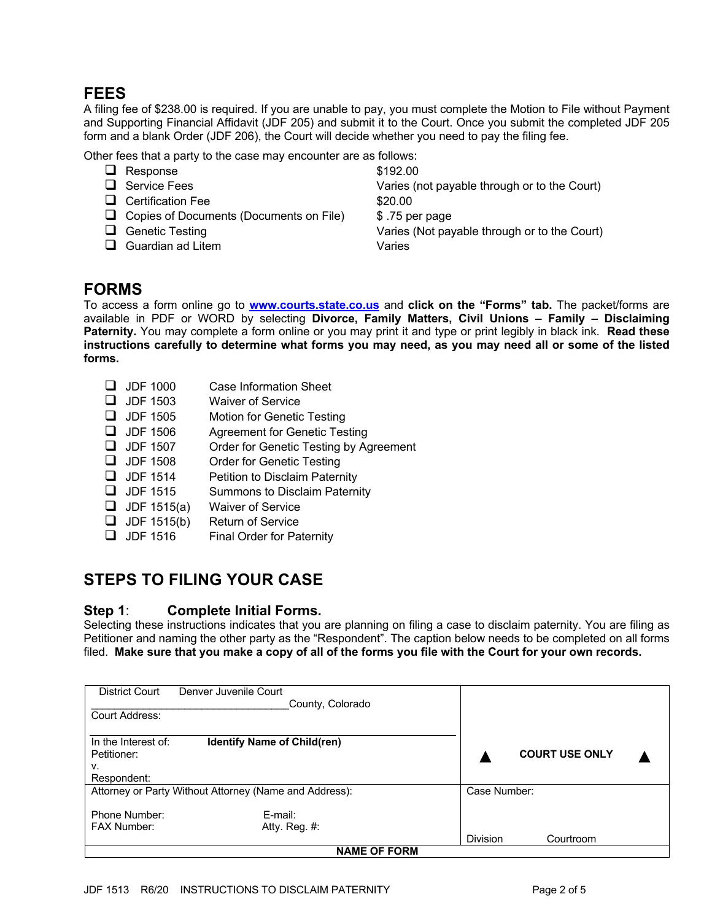## **FEES**

A filing fee of \$238.00 is required. If you are unable to pay, you must complete the Motion to File without Payment and Supporting Financial Affidavit (JDF 205) and submit it to the Court. Once you submit the completed JDF 205 form and a blank Order (JDF 206), the Court will decide whether you need to pay the filing fee.

Other fees that a party to the case may encounter are as follows:

- $\Box$  Response  $$192.00$
- 
- □ Certification Fee \$20.00
- $\Box$  Copies of Documents (Documents on File)  $$.75$  per page
- 
- **Q** Guardian ad Litem **Varies**

**Q** Service Fees **Varies** (not payable through or to the Court) **Q** Genetic Testing **Q** Genetic Testing **COULD** Series (Not payable through or to the Court)

## **FORMS**

To access a form online go to **www.courts.state.co.us** and **click on the "Forms" tab.** The packet/forms are available in PDF or WORD by selecting **Divorce, Family Matters, Civil Unions – Family – Disclaiming Paternity.** You may complete a form online or you may print it and type or print legibly in black ink. **Read these instructions carefully to determine what forms you may need, as you may need all or some of the listed forms.** 

- $\Box$  JDF 1000 Case Information Sheet **Q** JDF 1503 Waiver of Service  $\Box$  JDF 1505 Motion for Genetic Testing  $\Box$  JDF 1506 Agreement for Genetic Testing  $\Box$  JDF 1507 Order for Genetic Testing by Agreement  $\Box$  JDF 1508 Order for Genetic Testing
- $\Box$  JDF 1514 Petition to Disclaim Paternity
- $\Box$  JDF 1515 Summons to Disclaim Paternity
- $\Box$  JDF 1515(a) Waiver of Service
- $\Box$  JDF 1515(b) Return of Service
- $\Box$  JDF 1516 Final Order for Paternity

## **STEPS TO FILING YOUR CASE**

**Step 1**: **Complete Initial Forms.**<br>Selecting these instructions indicates that you are planning on filing a case to disclaim paternity. You are filing as Petitioner and naming the other party as the "Respondent". The caption below needs to be completed on all forms filed. **Make sure that you make a copy of all of the forms you file with the Court for your own records.**

| District Court                                                                 | Denver Juvenile Court<br>County, Colorado |                 |                       |  |  |
|--------------------------------------------------------------------------------|-------------------------------------------|-----------------|-----------------------|--|--|
| Court Address:                                                                 |                                           |                 |                       |  |  |
| <b>Identify Name of Child(ren)</b><br>In the Interest of:<br>Petitioner:<br>ν. |                                           |                 | <b>COURT USE ONLY</b> |  |  |
| Respondent:                                                                    |                                           |                 |                       |  |  |
| Attorney or Party Without Attorney (Name and Address):                         |                                           | Case Number:    |                       |  |  |
| Phone Number:<br><b>FAX Number:</b>                                            | E-mail:<br>Atty. Reg. #:                  |                 |                       |  |  |
|                                                                                |                                           | <b>Division</b> | Courtroom             |  |  |
|                                                                                | <b>NAME OF FORM</b>                       |                 |                       |  |  |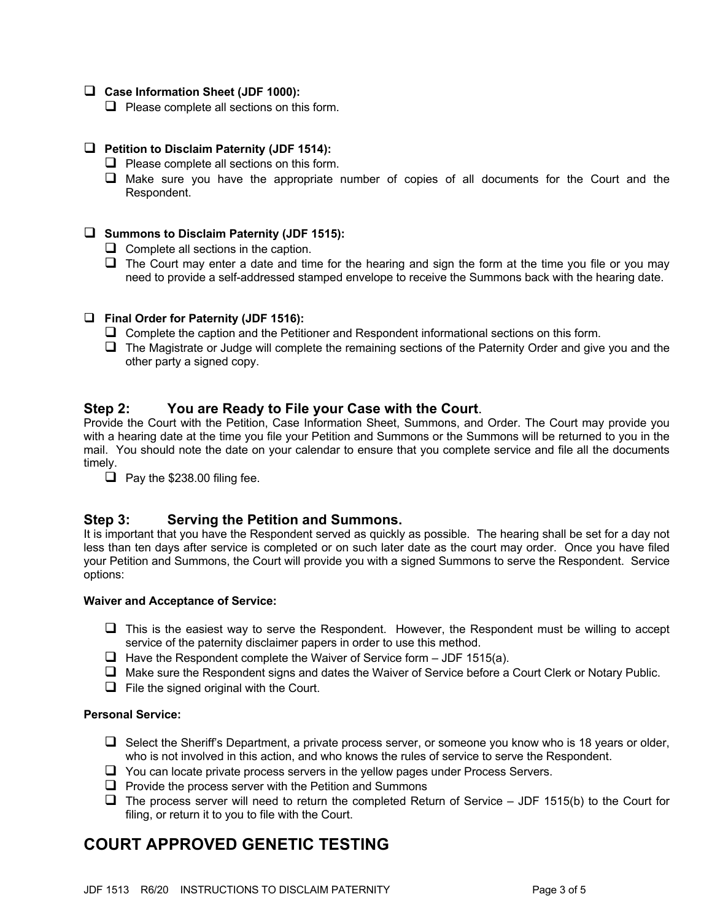#### □ Case Information Sheet (JDF 1000):

 $\Box$  Please complete all sections on this form.

#### □ Petition to Disclaim Paternity (JDF 1514):

- $\Box$  Please complete all sections on this form.
- $\Box$  Make sure you have the appropriate number of copies of all documents for the Court and the Respondent.

#### □ Summons to Disclaim Paternity (JDF 1515):

- $\Box$  Complete all sections in the caption.
- $\Box$  The Court may enter a date and time for the hearing and sign the form at the time you file or you may need to provide a self-addressed stamped envelope to receive the Summons back with the hearing date.

#### q **Final Order for Paternity (JDF 1516):**

- $\Box$  Complete the caption and the Petitioner and Respondent informational sections on this form.
- $\Box$  The Magistrate or Judge will complete the remaining sections of the Paternity Order and give you and the other party a signed copy.

**Step 2: You are Ready to File your Case with the Court**.<br>Provide the Court with the Petition, Case Information Sheet, Summons, and Order. The Court may provide you with a hearing date at the time you file your Petition and Summons or the Summons will be returned to you in the mail. You should note the date on your calendar to ensure that you complete service and file all the documents timely.

 $\Box$  Pay the \$238.00 filing fee.

#### **Step 3: Serving the Petition and Summons.**

It is important that you have the Respondent served as quickly as possible. The hearing shall be set for a day not less than ten days after service is completed or on such later date as the court may order. Once you have filed your Petition and Summons, the Court will provide you with a signed Summons to serve the Respondent. Service options:

#### **Waiver and Acceptance of Service:**

- $\Box$  This is the easiest way to serve the Respondent. However, the Respondent must be willing to accept service of the paternity disclaimer papers in order to use this method.
- $\Box$  Have the Respondent complete the Waiver of Service form JDF 1515(a).
- $\Box$  Make sure the Respondent signs and dates the Waiver of Service before a Court Clerk or Notary Public.
- $\Box$  File the signed original with the Court.

#### **Personal Service:**

- $\Box$  Select the Sheriff's Department, a private process server, or someone you know who is 18 years or older, who is not involved in this action, and who knows the rules of service to serve the Respondent.
- $\Box$  You can locate private process servers in the yellow pages under Process Servers.
- $\Box$  Provide the process server with the Petition and Summons
- $\Box$  The process server will need to return the completed Return of Service JDF 1515(b) to the Court for filing, or return it to you to file with the Court.

## **COURT APPROVED GENETIC TESTING**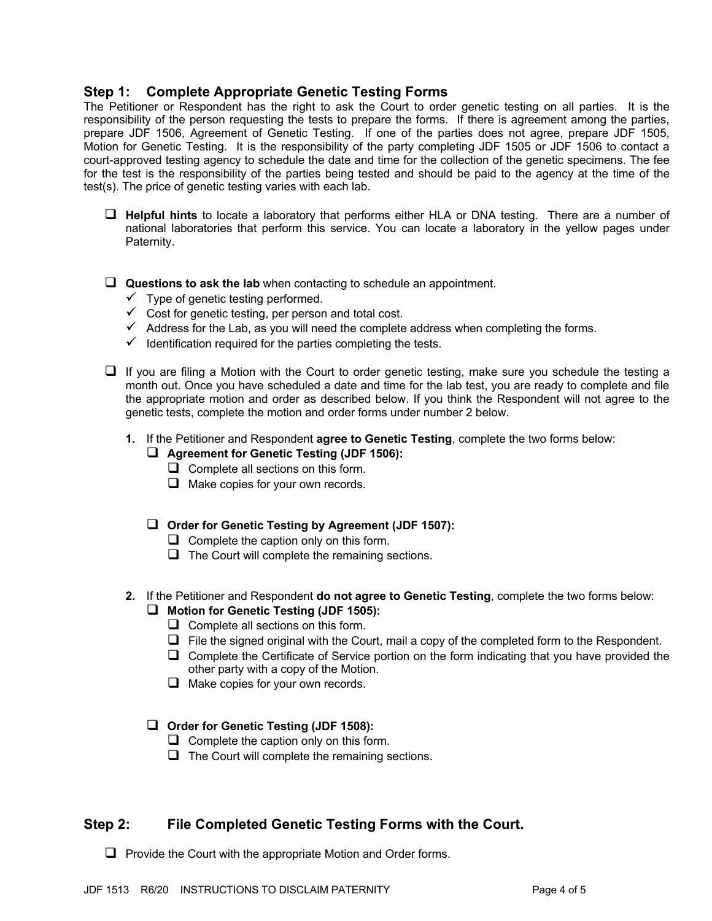### **Step 1: Complete Appropriate Genetic Testing Forms**

The Petitioner or Respondent has the right to ask the Court to order genetic testing on all parties. It is the responsibility of the person requesting the tests to prepare the forms. If there is agreement among the parties, prepare JDF 1506, Agreement of Genetic Testing. If one of the parties does not agree, prepare JDF 1505, Motion for Genetic Testing. It is the responsibility of the party completing JDF 1505 or JDF 1506 to contact a court-approved testing agency to schedule the date and time for the collection of the genetic specimens. The fee for the test is the responsibility of the parties being tested and should be paid to the agency at the time of the test(s). The price of genetic testing varies with each lab.

- □ Helpful hints to locate a laboratory that performs either HLA or DNA testing. There are a number of national laboratories that perform this service. You can locate a laboratory in the yellow pages under Paternity.
- **Questions to ask the lab** when contacting to schedule an appointment.
	- $\checkmark$  Type of genetic testing performed.
	- $\checkmark$  Cost for genetic testing, per person and total cost.
	- $\checkmark$  Address for the Lab, as you will need the complete address when completing the forms.
	- $\checkmark$  Identification required for the parties completing the tests.
- $\Box$  If you are filing a Motion with the Court to order genetic testing, make sure you schedule the testing a month out. Once you have scheduled a date and time for the lab test, you are ready to complete and file the appropriate motion and order as described below. If you think the Respondent will not agree to the genetic tests, complete the motion and order forms under number 2 below.
	- **1.** If the Petitioner and Respondent **agree to Genetic Testing**, complete the two forms below:

#### **Q** Agreement for Genetic Testing (JDF 1506):

- $\Box$  Complete all sections on this form.
- $\Box$  Make copies for your own records.

#### **Q Order for Genetic Testing by Agreement (JDF 1507):**

- $\Box$  Complete the caption only on this form.
- $\Box$  The Court will complete the remaining sections.
- **2.** If the Petitioner and Respondent **do not agree to Genetic Testing**, complete the two forms below: q **Motion for Genetic Testing (JDF 1505):**
	- $\Box$  Complete all sections on this form.
	- $\Box$  File the signed original with the Court, mail a copy of the completed form to the Respondent.
	- $\Box$  Complete the Certificate of Service portion on the form indicating that you have provided the other party with a copy of the Motion.
	- $\Box$  Make copies for your own records.

#### □ Order for Genetic Testing (JDF 1508):

- $\Box$  Complete the caption only on this form.
- $\Box$  The Court will complete the remaining sections.

### **Step 2: File Completed Genetic Testing Forms with the Court.**

 $\Box$  Provide the Court with the appropriate Motion and Order forms.